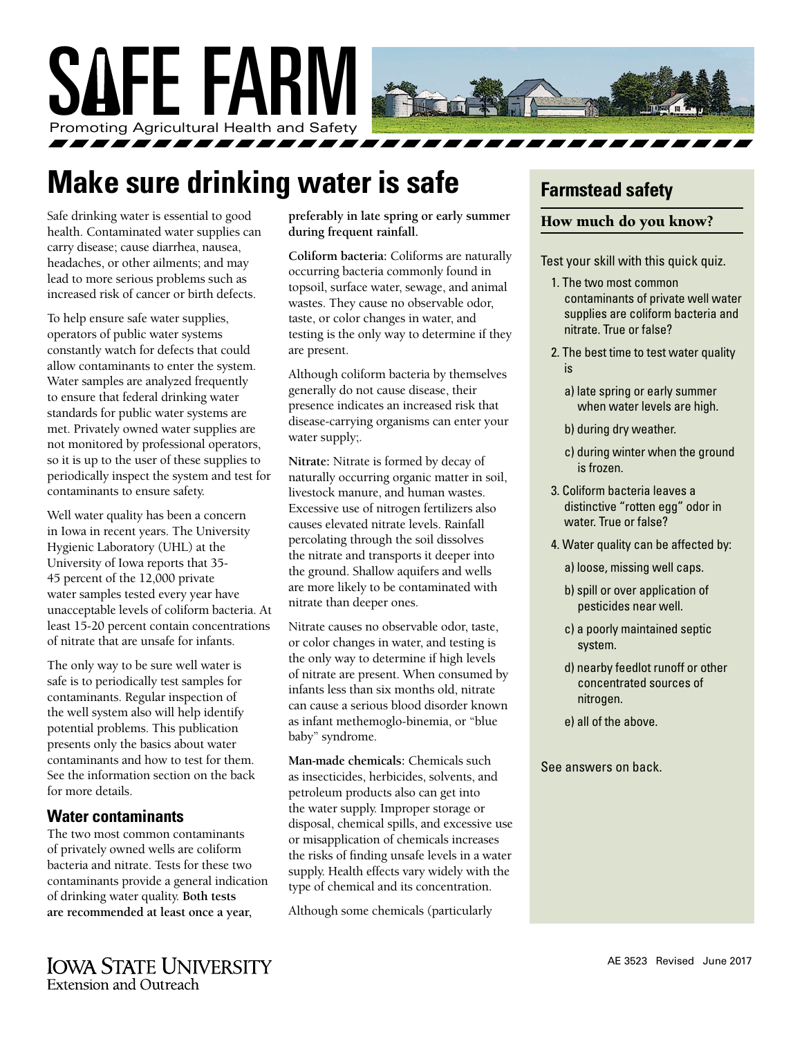

# **Make sure drinking water is safe**

Safe drinking water is essential to good health. Contaminated water supplies can carry disease; cause diarrhea, nausea, headaches, or other ailments; and may lead to more serious problems such as increased risk of cancer or birth defects.

To help ensure safe water supplies, operators of public water systems constantly watch for defects that could allow contaminants to enter the system. Water samples are analyzed frequently to ensure that federal drinking water standards for public water systems are met. Privately owned water supplies are not monitored by professional operators, so it is up to the user of these supplies to periodically inspect the system and test for contaminants to ensure safety.

Well water quality has been a concern in Iowa in recent years. The University Hygienic Laboratory (UHL) at the University of Iowa reports that 35- 45 percent of the 12,000 private water samples tested every year have unacceptable levels of coliform bacteria. At least 15-20 percent contain concentrations of nitrate that are unsafe for infants.

The only way to be sure well water is safe is to periodically test samples for contaminants. Regular inspection of the well system also will help identify potential problems. This publication presents only the basics about water contaminants and how to test for them. See the information section on the back for more details.

#### **Water contaminants**

The two most common contaminants of privately owned wells are coliform bacteria and nitrate. Tests for these two contaminants provide a general indication of drinking water quality. **Both tests are recommended at least once a year,** 

**preferably in late spring or early summer during frequent rainfall.**

**Coliform bacteria:** Coliforms are naturally occurring bacteria commonly found in topsoil, surface water, sewage, and animal wastes. They cause no observable odor, taste, or color changes in water, and testing is the only way to determine if they are present.

Although coliform bacteria by themselves generally do not cause disease, their presence indicates an increased risk that disease-carrying organisms can enter your water supply;.

**Nitrate:** Nitrate is formed by decay of naturally occurring organic matter in soil, livestock manure, and human wastes. Excessive use of nitrogen fertilizers also causes elevated nitrate levels. Rainfall percolating through the soil dissolves the nitrate and transports it deeper into the ground. Shallow aquifers and wells are more likely to be contaminated with nitrate than deeper ones.

Nitrate causes no observable odor, taste, or color changes in water, and testing is the only way to determine if high levels of nitrate are present. When consumed by infants less than six months old, nitrate can cause a serious blood disorder known as infant methemoglo-binemia, or "blue baby" syndrome.

**Man-made chemicals:** Chemicals such as insecticides, herbicides, solvents, and petroleum products also can get into the water supply. Improper storage or disposal, chemical spills, and excessive use or misapplication of chemicals increases the risks of finding unsafe levels in a water supply. Health effects vary widely with the type of chemical and its concentration.

Although some chemicals (particularly

### **Farmstead safety**

#### How much do you know?

Test your skill with this quick quiz.

- 1. The two most common contaminants of private well water supplies are coliform bacteria and nitrate. True or false?
- 2. The best time to test water quality is
	- a) late spring or early summer when water levels are high.
	- b) during dry weather.
	- c) during winter when the ground is frozen.
- 3. Coliform bacteria leaves a distinctive "rotten egg" odor in water. True or false?
- 4. Water quality can be affected by:
	- a) loose, missing well caps.
	- b) spill or over application of pesticides near well.
	- c) a poorly maintained septic system.
	- d) nearby feedlot runoff or other concentrated sources of nitrogen.
	- e) all of the above.

See answers on back.